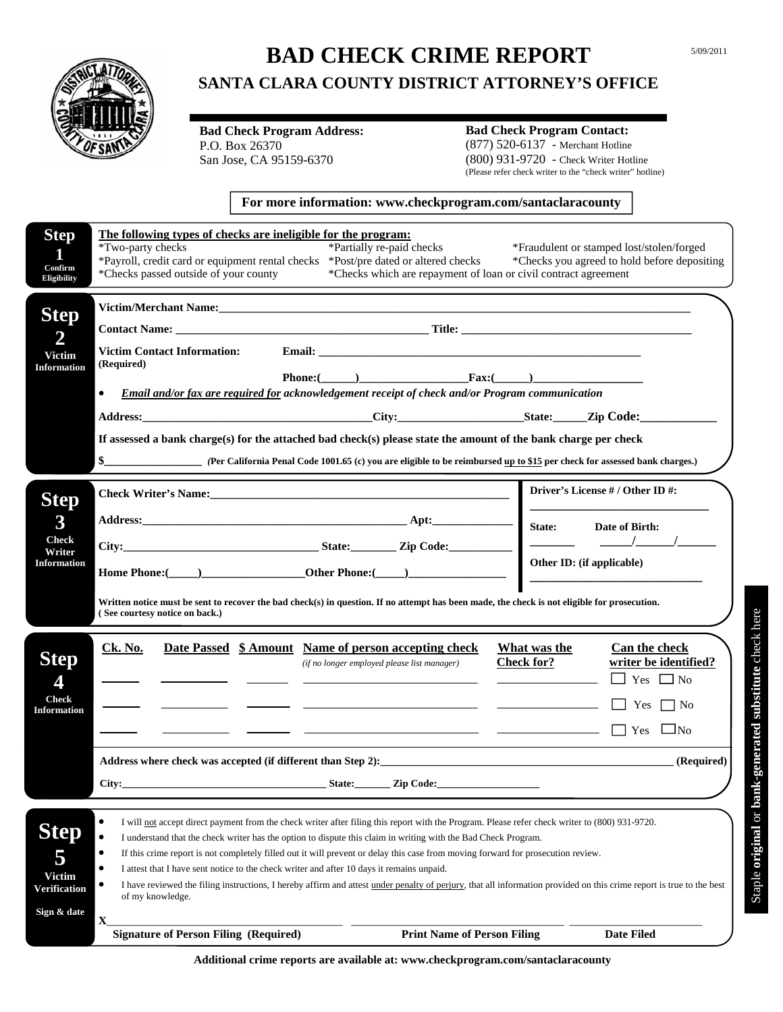

# **BAD CHECK CRIME REPORT**

## **SANTA CLARA COUNTY DISTRICT ATTORNEY'S OFFICE**

**Bad Check Program Address:**  P.O. Box 26370 San Jose, CA 95159-6370

## **Bad Check Program Contact:**

(877) 520-6137 - Merchant Hotline (800) 931-9720 - Check Writer Hotline (Please refer check writer to the "check writer" hotline) 5/09/2011

#### **For more information: www.checkprogram.com/santaclaracounty**

| <b>Step</b><br>1<br>Confirm<br><b>Eligibility</b>                | The following types of checks are ineligible for the program:<br>*Two-party checks<br>*Partially re-paid checks<br>*Payroll, credit card or equipment rental checks *Post/pre dated or altered checks<br>*Checks passed outside of your county                                                                                                                                                                                                                                                                                                                                                                                                                                                                                                                                                                                 | *Checks which are repayment of loan or civil contract agreement                         | *Fraudulent or stamped lost/stolen/forged<br>*Checks you agreed to hold before depositing                         |
|------------------------------------------------------------------|--------------------------------------------------------------------------------------------------------------------------------------------------------------------------------------------------------------------------------------------------------------------------------------------------------------------------------------------------------------------------------------------------------------------------------------------------------------------------------------------------------------------------------------------------------------------------------------------------------------------------------------------------------------------------------------------------------------------------------------------------------------------------------------------------------------------------------|-----------------------------------------------------------------------------------------|-------------------------------------------------------------------------------------------------------------------|
| <b>Step</b><br>2<br><b>Victim</b><br><b>Information</b>          | <b>Victim Contact Information:</b><br>(Required)<br>Phone: $\qquad \qquad$ Fax: $\qquad \qquad$<br>Email and/or fax are required for acknowledgement receipt of check and/or Program communication<br>$\bullet$<br>If assessed a bank charge(s) for the attached bad check(s) please state the amount of the bank charge per check                                                                                                                                                                                                                                                                                                                                                                                                                                                                                             |                                                                                         |                                                                                                                   |
| <b>Step</b><br>3<br><b>Check</b><br>Writer<br><b>Information</b> | Address: Date of Birth: Apt: State: Date of Birth:<br>City: State: Zip Code: State: Zip Code: State: State: State: State: State: State: State: State: State: State: State: State: State: State: State: State: State: State: State: State: State: State: State: State: State: State:<br>Written notice must be sent to recover the bad check(s) in question. If no attempt has been made, the check is not eligible for prosecution.<br>(See courtesy notice on back.)                                                                                                                                                                                                                                                                                                                                                          |                                                                                         | Driver's License # / Other ID #:                                                                                  |
| <b>Step</b><br>4<br><b>Check</b><br><b>Information</b>           | <b>Ck. No.</b><br>Date Passed \$ Amount Name of person accepting check<br>(if no longer employed please list manager)<br>City: State: Zip Code:                                                                                                                                                                                                                                                                                                                                                                                                                                                                                                                                                                                                                                                                                | What was the<br><b>Check for?</b><br><u> 1989 - Johann Barn, amerikansk politiker (</u> | Can the check<br>writer be identified?<br>$\Box$ Yes $\Box$ No<br>Yes $\Box$ No<br>$\Box$ No<br>Yes<br>(Required) |
| <b>Step</b><br>5<br><b>Victim</b><br>Verification<br>Sign & date | $\bullet$<br>I will not accept direct payment from the check writer after filing this report with the Program. Please refer check writer to (800) 931-9720.<br>$\bullet$<br>I understand that the check writer has the option to dispute this claim in writing with the Bad Check Program.<br>$\bullet$<br>If this crime report is not completely filled out it will prevent or delay this case from moving forward for prosecution review.<br>$\bullet$<br>I attest that I have sent notice to the check writer and after 10 days it remains unpaid.<br>I have reviewed the filing instructions, I hereby affirm and attest under penalty of perjury, that all information provided on this crime report is true to the best<br>$\bullet$<br>of my knowledge.<br>$\mathbf{X}$<br><b>Signature of Person Filing (Required)</b> | <b>Print Name of Person Filing</b>                                                      | <b>Date Filed</b>                                                                                                 |